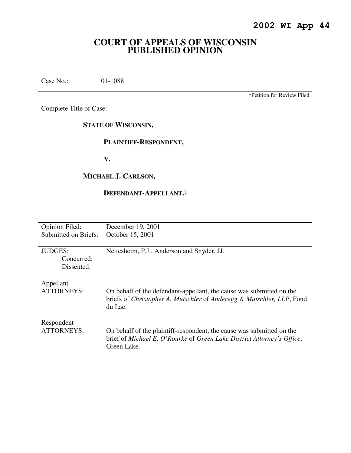## **COURT OF APPEALS OF WISCONSIN PUBLISHED OPINION**

Case No.: 01-1088

†Petition for Review Filed

Complete Title of Case:

**STATE OF WISCONSIN,** 

#### **PLAINTIFF-RESPONDENT,**

 **V.** 

### **MICHAEL J. CARLSON,**

## **DEFENDANT-APPELLANT.†**

| <b>Opinion Filed:</b> | December 19, 2001                                                                                                                                              |
|-----------------------|----------------------------------------------------------------------------------------------------------------------------------------------------------------|
| Submitted on Briefs:  | October 15, 2001                                                                                                                                               |
|                       |                                                                                                                                                                |
| <b>JUDGES:</b>        | Nettesheim, P.J., Anderson and Snyder, JJ.                                                                                                                     |
| Concurred:            |                                                                                                                                                                |
| Dissented:            |                                                                                                                                                                |
|                       |                                                                                                                                                                |
| Appellant             |                                                                                                                                                                |
| <b>ATTORNEYS:</b>     | On behalf of the defendant-appellant, the cause was submitted on the<br>briefs of Christopher A. Mutschler of Anderegg & Mutschler, LLP, Fond<br>du Lac.       |
| Respondent            |                                                                                                                                                                |
| ATTORNEYS:            | On behalf of the plaintiff-respondent, the cause was submitted on the<br>brief of Michael E. O'Rourke of Green Lake District Attorney's Office,<br>Green Lake. |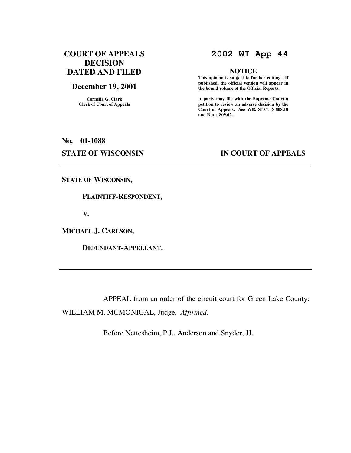## **COURT OF APPEALS DECISION DATED AND FILED**

#### **December 19, 2001**

**Cornelia G. Clark Clerk of Court of Appeals**

## **2002 WI App 44**

#### **NOTICE**

 **This opinion is subject to further editing. If published, the official version will appear in the bound volume of the Official Reports.** 

**A party may file with the Supreme Court a petition to review an adverse decision by the Court of Appeals.** *See* **WIS. STAT. § 808.10 and RULE 809.62.** 

# **No. 01-1088 STATE OF WISCONSIN IN COURT OF APPEALS**

**STATE OF WISCONSIN,** 

 **PLAINTIFF-RESPONDENT,** 

 **V.** 

**MICHAEL J. CARLSON,** 

 **DEFENDANT-APPELLANT.** 

 APPEAL from an order of the circuit court for Green Lake County: WILLIAM M. MCMONIGAL, Judge. *Affirmed*.

Before Nettesheim, P.J., Anderson and Snyder, JJ.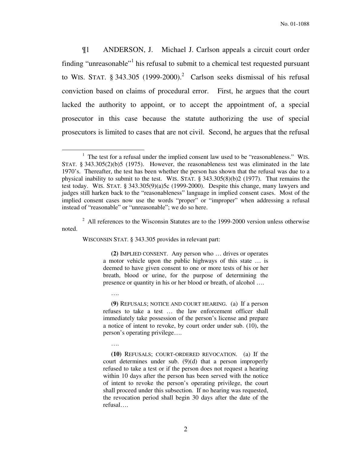¶1 ANDERSON, J. Michael J. Carlson appeals a circuit court order finding "unreasonable"<sup>1</sup> his refusal to submit to a chemical test requested pursuant to WIS. STAT.  $\S 343.305$  (1999-2000).<sup>2</sup> Carlson seeks dismissal of his refusal conviction based on claims of procedural error. First, he argues that the court lacked the authority to appoint, or to accept the appointment of, a special prosecutor in this case because the statute authorizing the use of special prosecutors is limited to cases that are not civil. Second, he argues that the refusal

 $2$  All references to the Wisconsin Statutes are to the 1999-2000 version unless otherwise noted.

WISCONSIN STAT. § 343.305 provides in relevant part:

….

….

 $\overline{a}$ 

 **(2)** IMPLIED CONSENT. Any person who … drives or operates a motor vehicle upon the public highways of this state … is deemed to have given consent to one or more tests of his or her breath, blood or urine, for the purpose of determining the presence or quantity in his or her blood or breath, of alcohol ….

 **(9)** REFUSALS; NOTICE AND COURT HEARING. (a) If a person refuses to take a test … the law enforcement officer shall immediately take possession of the person's license and prepare a notice of intent to revoke, by court order under sub. (10), the person's operating privilege….

 **(10)** REFUSALS; COURT-ORDERED REVOCATION. (a) If the court determines under sub. (9)(d) that a person improperly refused to take a test or if the person does not request a hearing within 10 days after the person has been served with the notice of intent to revoke the person's operating privilege, the court shall proceed under this subsection. If no hearing was requested, the revocation period shall begin 30 days after the date of the refusal….

 $<sup>1</sup>$  The test for a refusal under the implied consent law used to be "reasonableness." WIS.</sup> STAT. § 343.305(2)(b)5 (1975). However, the reasonableness test was eliminated in the late 1970's. Thereafter, the test has been whether the person has shown that the refusal was due to a physical inability to submit to the test. WIS. STAT. § 343.305(8)(b)2 (1977). That remains the test today. WIS. STAT. § 343.305(9)(a)5c (1999-2000). Despite this change, many lawyers and judges still harken back to the "reasonableness" language in implied consent cases. Most of the implied consent cases now use the words "proper" or "improper" when addressing a refusal instead of "reasonable" or "unreasonable"; we do so here.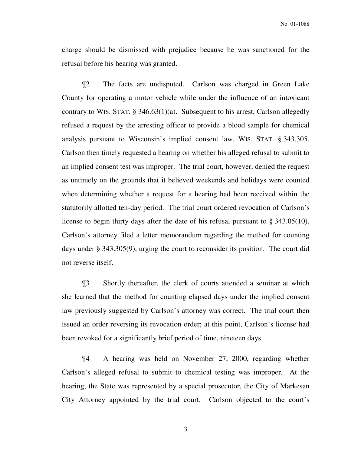charge should be dismissed with prejudice because he was sanctioned for the refusal before his hearing was granted.

¶2 The facts are undisputed. Carlson was charged in Green Lake County for operating a motor vehicle while under the influence of an intoxicant contrary to WIS. STAT. § 346.63(1)(a). Subsequent to his arrest, Carlson allegedly refused a request by the arresting officer to provide a blood sample for chemical analysis pursuant to Wisconsin's implied consent law, WIS. STAT. § 343.305. Carlson then timely requested a hearing on whether his alleged refusal to submit to an implied consent test was improper. The trial court, however, denied the request as untimely on the grounds that it believed weekends and holidays were counted when determining whether a request for a hearing had been received within the statutorily allotted ten-day period. The trial court ordered revocation of Carlson's license to begin thirty days after the date of his refusal pursuant to § 343.05(10). Carlson's attorney filed a letter memorandum regarding the method for counting days under § 343.305(9), urging the court to reconsider its position. The court did not reverse itself.

¶3 Shortly thereafter, the clerk of courts attended a seminar at which she learned that the method for counting elapsed days under the implied consent law previously suggested by Carlson's attorney was correct. The trial court then issued an order reversing its revocation order; at this point, Carlson's license had been revoked for a significantly brief period of time, nineteen days.

¶4 A hearing was held on November 27, 2000, regarding whether Carlson's alleged refusal to submit to chemical testing was improper. At the hearing, the State was represented by a special prosecutor, the City of Markesan City Attorney appointed by the trial court. Carlson objected to the court's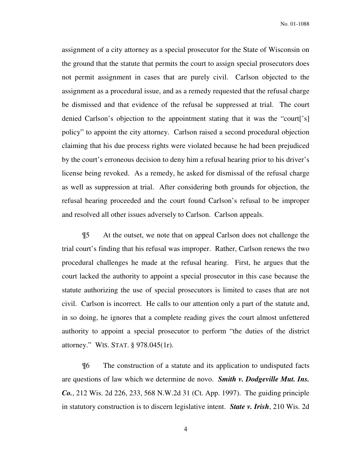assignment of a city attorney as a special prosecutor for the State of Wisconsin on the ground that the statute that permits the court to assign special prosecutors does not permit assignment in cases that are purely civil. Carlson objected to the assignment as a procedural issue, and as a remedy requested that the refusal charge be dismissed and that evidence of the refusal be suppressed at trial. The court denied Carlson's objection to the appointment stating that it was the "court['s] policy" to appoint the city attorney. Carlson raised a second procedural objection claiming that his due process rights were violated because he had been prejudiced by the court's erroneous decision to deny him a refusal hearing prior to his driver's license being revoked. As a remedy, he asked for dismissal of the refusal charge as well as suppression at trial. After considering both grounds for objection, the refusal hearing proceeded and the court found Carlson's refusal to be improper and resolved all other issues adversely to Carlson. Carlson appeals.

¶5 At the outset, we note that on appeal Carlson does not challenge the trial court's finding that his refusal was improper. Rather, Carlson renews the two procedural challenges he made at the refusal hearing. First, he argues that the court lacked the authority to appoint a special prosecutor in this case because the statute authorizing the use of special prosecutors is limited to cases that are not civil. Carlson is incorrect. He calls to our attention only a part of the statute and, in so doing, he ignores that a complete reading gives the court almost unfettered authority to appoint a special prosecutor to perform "the duties of the district attorney." WIS. STAT. § 978.045(1r).

¶6 The construction of a statute and its application to undisputed facts are questions of law which we determine de novo. *Smith v. Dodgeville Mut. Ins. Co.*, 212 Wis. 2d 226, 233, 568 N.W.2d 31 (Ct. App. 1997). The guiding principle in statutory construction is to discern legislative intent. *State v. Irish*, 210 Wis. 2d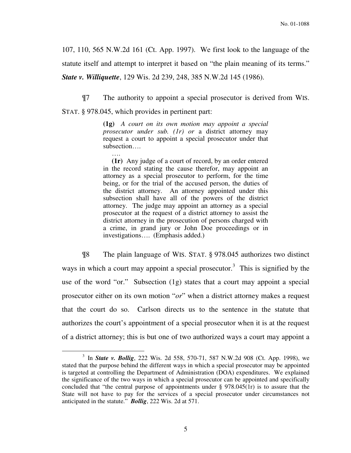107, 110, 565 N.W.2d 161 (Ct. App. 1997). We first look to the language of the statute itself and attempt to interpret it based on "the plain meaning of its terms." *State v. Williquette*, 129 Wis. 2d 239, 248, 385 N.W.2d 145 (1986).

¶7 The authority to appoint a special prosecutor is derived from WIS. STAT. § 978.045, which provides in pertinent part:

> **(1g)** *A court on its own motion may appoint a special prosecutor under sub. (1r) or* a district attorney may request a court to appoint a special prosecutor under that subsection….

> ….  **(1r)** Any judge of a court of record, by an order entered in the record stating the cause therefor, may appoint an attorney as a special prosecutor to perform, for the time being, or for the trial of the accused person, the duties of the district attorney. An attorney appointed under this subsection shall have all of the powers of the district attorney. The judge may appoint an attorney as a special prosecutor at the request of a district attorney to assist the district attorney in the prosecution of persons charged with a crime, in grand jury or John Doe proceedings or in investigations…. (Emphasis added.)

 ¶8 The plain language of WIS. STAT. § 978.045 authorizes two distinct ways in which a court may appoint a special prosecutor.<sup>3</sup> This is signified by the use of the word "or." Subsection (1g) states that a court may appoint a special prosecutor either on its own motion "*or*" when a district attorney makes a request that the court do so. Carlson directs us to the sentence in the statute that authorizes the court's appointment of a special prosecutor when it is at the request of a district attorney; this is but one of two authorized ways a court may appoint a

<sup>3</sup> In *State v. Bollig*, 222 Wis. 2d 558, 570-71, 587 N.W.2d 908 (Ct. App. 1998), we stated that the purpose behind the different ways in which a special prosecutor may be appointed is targeted at controlling the Department of Administration (DOA) expenditures. We explained the significance of the two ways in which a special prosecutor can be appointed and specifically concluded that "the central purpose of appointments under § 978.045(1r) is to assure that the State will not have to pay for the services of a special prosecutor under circumstances not anticipated in the statute." *Bollig*, 222 Wis. 2d at 571.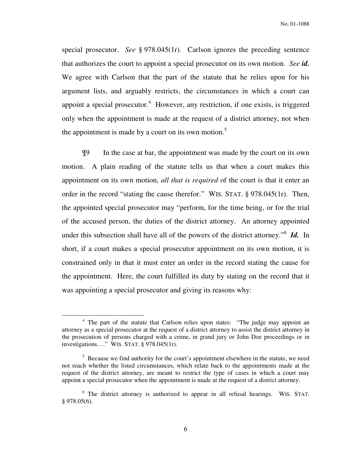special prosecutor. *See* § 978.045(1r). Carlson ignores the preceding sentence that authorizes the court to appoint a special prosecutor on its own motion. *See id.*  We agree with Carlson that the part of the statute that he relies upon for his argument lists, and arguably restricts, the circumstances in which a court can appoint a special prosecutor.<sup>4</sup> However, any restriction, if one exists, is triggered only when the appointment is made at the request of a district attorney, not when the appointment is made by a court on its own motion.<sup>5</sup>

 ¶9 In the case at bar, the appointment was made by the court on its own motion. A plain reading of the statute tells us that when a court makes this appointment on its own motion, *all that is required* of the court is that it enter an order in the record "stating the cause therefor." WIS. STAT. § 978.045(1r). Then, the appointed special prosecutor may "perform, for the time being, or for the trial of the accused person, the duties of the district attorney. An attorney appointed under this subsection shall have all of the powers of the district attorney."<sup>6</sup> **Id.** In short, if a court makes a special prosecutor appointment on its own motion, it is constrained only in that it must enter an order in the record stating the cause for the appointment. Here, the court fulfilled its duty by stating on the record that it was appointing a special prosecutor and giving its reasons why:

<sup>&</sup>lt;sup>4</sup> The part of the statute that Carlson relies upon states: "The judge may appoint an attorney as a special prosecutor at the request of a district attorney to assist the district attorney in the prosecution of persons charged with a crime, in grand jury or John Doe proceedings or in investigations…." WIS. STAT. § 978.045(1r).

<sup>&</sup>lt;sup>5</sup> Because we find authority for the court's appointment elsewhere in the statute, we need not reach whether the listed circumstances, which relate back to the appointments made at the request of the district attorney, are meant to restrict the type of cases in which a court may appoint a special prosecutor when the appointment is made at the request of a district attorney.

<sup>&</sup>lt;sup>6</sup> The district attorney is authorized to appear in all refusal hearings. WIS. STAT. § 978.05(6).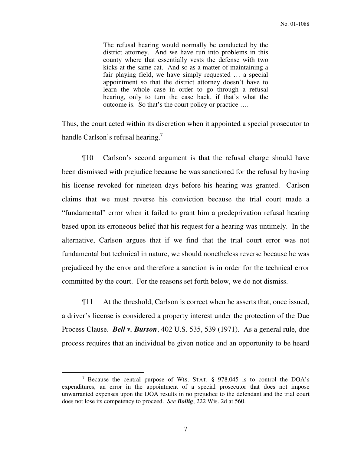The refusal hearing would normally be conducted by the district attorney. And we have run into problems in this county where that essentially vests the defense with two kicks at the same cat. And so as a matter of maintaining a fair playing field, we have simply requested … a special appointment so that the district attorney doesn't have to learn the whole case in order to go through a refusal hearing, only to turn the case back, if that's what the outcome is. So that's the court policy or practice ….

Thus, the court acted within its discretion when it appointed a special prosecutor to handle Carlson's refusal hearing.<sup>7</sup>

¶10 Carlson's second argument is that the refusal charge should have been dismissed with prejudice because he was sanctioned for the refusal by having his license revoked for nineteen days before his hearing was granted. Carlson claims that we must reverse his conviction because the trial court made a "fundamental" error when it failed to grant him a predeprivation refusal hearing based upon its erroneous belief that his request for a hearing was untimely. In the alternative, Carlson argues that if we find that the trial court error was not fundamental but technical in nature, we should nonetheless reverse because he was prejudiced by the error and therefore a sanction is in order for the technical error committed by the court. For the reasons set forth below, we do not dismiss.

¶11 At the threshold, Carlson is correct when he asserts that, once issued, a driver's license is considered a property interest under the protection of the Due Process Clause. *Bell v. Burson*, 402 U.S. 535, 539 (1971). As a general rule, due process requires that an individual be given notice and an opportunity to be heard

<sup>&</sup>lt;sup>7</sup> Because the central purpose of WIS. STAT.  $\S$  978.045 is to control the DOA's expenditures, an error in the appointment of a special prosecutor that does not impose unwarranted expenses upon the DOA results in no prejudice to the defendant and the trial court does not lose its competency to proceed. *See Bollig*, 222 Wis. 2d at 560.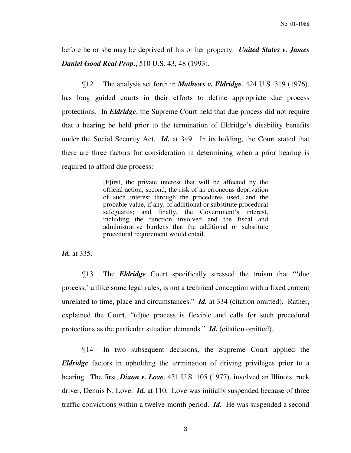before he or she may be deprived of his or her property. *United States v. James Daniel Good Real Prop.*, 510 U.S. 43, 48 (1993).

¶12 The analysis set forth in *Mathews v. Eldridge*, 424 U.S. 319 (1976), has long guided courts in their efforts to define appropriate due process protections. In *Eldridge*, the Supreme Court held that due process did not require that a hearing be held prior to the termination of Eldridge's disability benefits under the Social Security Act. *Id.* at 349. In its holding, the Court stated that there are three factors for consideration in determining when a prior hearing is required to afford due process:

> [F]irst, the private interest that will be affected by the official action; second, the risk of an erroneous deprivation of such interest through the procedures used, and the probable value, if any, of additional or substitute procedural safeguards; and finally, the Government's interest, including the function involved and the fiscal and administrative burdens that the additional or substitute procedural requirement would entail.

*Id.* at 335.

¶13 The *Eldridge* Court specifically stressed the truism that "'due process,' unlike some legal rules, is not a technical conception with a fixed content unrelated to time, place and circumstances." *Id.* at 334 (citation omitted). Rather, explained the Court, "(d)ue process is flexible and calls for such procedural protections as the particular situation demands." *Id.* (citation omitted).

¶14 In two subsequent decisions, the Supreme Court applied the *Eldridge* factors in upholding the termination of driving privileges prior to a hearing. The first, *Dixon v. Love*, 431 U.S. 105 (1977), involved an Illinois truck driver, Dennis N. Love. *Id.* at 110. Love was initially suspended because of three traffic convictions within a twelve-month period. *Id.* He was suspended a second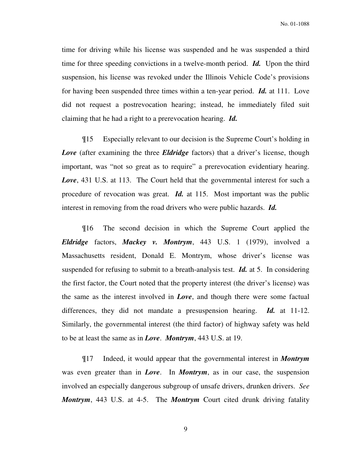time for driving while his license was suspended and he was suspended a third time for three speeding convictions in a twelve-month period. *Id.* Upon the third suspension, his license was revoked under the Illinois Vehicle Code's provisions for having been suspended three times within a ten-year period. *Id.* at 111. Love did not request a postrevocation hearing; instead, he immediately filed suit claiming that he had a right to a prerevocation hearing. *Id.* 

¶15 Especially relevant to our decision is the Supreme Court's holding in *Love* (after examining the three *Eldridge* factors) that a driver's license, though important, was "not so great as to require" a prerevocation evidentiary hearing. *Love*, 431 U.S. at 113. The Court held that the governmental interest for such a procedure of revocation was great. *Id.* at 115. Most important was the public interest in removing from the road drivers who were public hazards. *Id.*

¶16 The second decision in which the Supreme Court applied the *Eldridge* factors, *Mackey v. Montrym*, 443 U.S. 1 (1979), involved a Massachusetts resident, Donald E. Montrym, whose driver's license was suspended for refusing to submit to a breath-analysis test. *Id.* at 5. In considering the first factor, the Court noted that the property interest (the driver's license) was the same as the interest involved in *Love*, and though there were some factual differences, they did not mandate a presuspension hearing. *Id.* at 11-12. Similarly, the governmental interest (the third factor) of highway safety was held to be at least the same as in *Love*. *Montrym*, 443 U.S. at 19.

¶17 Indeed, it would appear that the governmental interest in *Montrym* was even greater than in *Love*. In *Montrym*, as in our case, the suspension involved an especially dangerous subgroup of unsafe drivers, drunken drivers. *See Montrym*, 443 U.S. at 4-5. The *Montrym* Court cited drunk driving fatality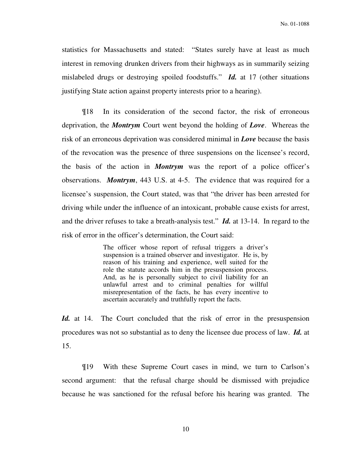statistics for Massachusetts and stated: "States surely have at least as much interest in removing drunken drivers from their highways as in summarily seizing mislabeled drugs or destroying spoiled foodstuffs." *Id.* at 17 (other situations justifying State action against property interests prior to a hearing).

¶18 In its consideration of the second factor, the risk of erroneous deprivation, the *Montrym* Court went beyond the holding of *Love*. Whereas the risk of an erroneous deprivation was considered minimal in *Love* because the basis of the revocation was the presence of three suspensions on the licensee's record, the basis of the action in *Montrym* was the report of a police officer's observations. *Montrym*, 443 U.S. at 4-5. The evidence that was required for a licensee's suspension, the Court stated, was that "the driver has been arrested for driving while under the influence of an intoxicant, probable cause exists for arrest, and the driver refuses to take a breath-analysis test." *Id.* at 13-14. In regard to the risk of error in the officer's determination, the Court said:

> The officer whose report of refusal triggers a driver's suspension is a trained observer and investigator. He is, by reason of his training and experience, well suited for the role the statute accords him in the presuspension process. And, as he is personally subject to civil liability for an unlawful arrest and to criminal penalties for willful misrepresentation of the facts, he has every incentive to ascertain accurately and truthfully report the facts.

Id. at 14. The Court concluded that the risk of error in the presuspension procedures was not so substantial as to deny the licensee due process of law. *Id.* at 15.

 ¶19 With these Supreme Court cases in mind, we turn to Carlson's second argument: that the refusal charge should be dismissed with prejudice because he was sanctioned for the refusal before his hearing was granted. The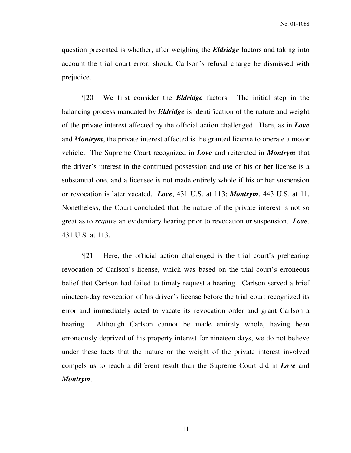question presented is whether, after weighing the *Eldridge* factors and taking into account the trial court error, should Carlson's refusal charge be dismissed with prejudice.

 ¶20 We first consider the *Eldridge* factors. The initial step in the balancing process mandated by *Eldridge* is identification of the nature and weight of the private interest affected by the official action challenged. Here, as in *Love*  and *Montrym*, the private interest affected is the granted license to operate a motor vehicle. The Supreme Court recognized in *Love* and reiterated in *Montrym* that the driver's interest in the continued possession and use of his or her license is a substantial one, and a licensee is not made entirely whole if his or her suspension or revocation is later vacated. *Love*, 431 U.S. at 113; *Montrym*, 443 U.S. at 11. Nonetheless, the Court concluded that the nature of the private interest is not so great as to *require* an evidentiary hearing prior to revocation or suspension. *Love*, 431 U.S. at 113.

 ¶21 Here, the official action challenged is the trial court's prehearing revocation of Carlson's license, which was based on the trial court's erroneous belief that Carlson had failed to timely request a hearing. Carlson served a brief nineteen-day revocation of his driver's license before the trial court recognized its error and immediately acted to vacate its revocation order and grant Carlson a hearing. Although Carlson cannot be made entirely whole, having been erroneously deprived of his property interest for nineteen days, we do not believe under these facts that the nature or the weight of the private interest involved compels us to reach a different result than the Supreme Court did in *Love* and *Montrym*.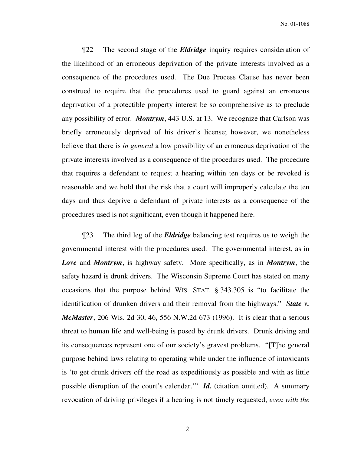¶22 The second stage of the *Eldridge* inquiry requires consideration of the likelihood of an erroneous deprivation of the private interests involved as a consequence of the procedures used. The Due Process Clause has never been construed to require that the procedures used to guard against an erroneous deprivation of a protectible property interest be so comprehensive as to preclude any possibility of error. *Montrym*, 443 U.S. at 13. We recognize that Carlson was briefly erroneously deprived of his driver's license; however, we nonetheless believe that there is *in general* a low possibility of an erroneous deprivation of the private interests involved as a consequence of the procedures used. The procedure that requires a defendant to request a hearing within ten days or be revoked is reasonable and we hold that the risk that a court will improperly calculate the ten days and thus deprive a defendant of private interests as a consequence of the procedures used is not significant, even though it happened here.

¶23 The third leg of the *Eldridge* balancing test requires us to weigh the governmental interest with the procedures used. The governmental interest, as in *Love* and *Montrym*, is highway safety. More specifically, as in *Montrym*, the safety hazard is drunk drivers. The Wisconsin Supreme Court has stated on many occasions that the purpose behind WIS. STAT. § 343.305 is "to facilitate the identification of drunken drivers and their removal from the highways." *State v. McMaster*, 206 Wis. 2d 30, 46, 556 N.W.2d 673 (1996). It is clear that a serious threat to human life and well-being is posed by drunk drivers. Drunk driving and its consequences represent one of our society's gravest problems. "[T]he general purpose behind laws relating to operating while under the influence of intoxicants is 'to get drunk drivers off the road as expeditiously as possible and with as little possible disruption of the court's calendar.'" *Id.* (citation omitted). A summary revocation of driving privileges if a hearing is not timely requested, *even with the*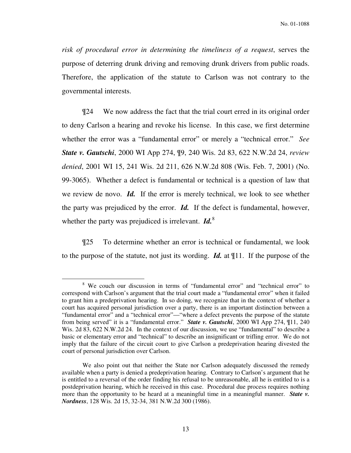*risk of procedural error in determining the timeliness of a request*, serves the purpose of deterring drunk driving and removing drunk drivers from public roads. Therefore, the application of the statute to Carlson was not contrary to the governmental interests.

 ¶24 We now address the fact that the trial court erred in its original order to deny Carlson a hearing and revoke his license. In this case, we first determine whether the error was a "fundamental error" or merely a "technical error." *See State v. Gautschi*, 2000 WI App 274, ¶9, 240 Wis. 2d 83, 622 N.W.2d 24, *review denied*, 2001 WI 15, 241 Wis. 2d 211, 626 N.W.2d 808 (Wis. Feb. 7, 2001) (No. 99-3065). Whether a defect is fundamental or technical is a question of law that we review de novo. *Id.* If the error is merely technical, we look to see whether the party was prejudiced by the error. *Id.* If the defect is fundamental, however, whether the party was prejudiced is irrelevant. *Id.*<sup>8</sup>

¶25 To determine whether an error is technical or fundamental, we look to the purpose of the statute, not just its wording. *Id.* at ¶11.If the purpose of the

<sup>&</sup>lt;sup>8</sup> We couch our discussion in terms of "fundamental error" and "technical error" to correspond with Carlson's argument that the trial court made a "fundamental error" when it failed to grant him a predeprivation hearing. In so doing, we recognize that in the context of whether a court has acquired personal jurisdiction over a party, there is an important distinction between a "fundamental error" and a "technical error"—"where a defect prevents the purpose of the statute from being served" it is a "fundamental error." *State v. Gautschi*, 2000 WI App 274, ¶11, 240 Wis. 2d 83, 622 N.W.2d 24. In the context of our discussion, we use "fundamental" to describe a basic or elementary error and "technical" to describe an insignificant or trifling error. We do not imply that the failure of the circuit court to give Carlson a predeprivation hearing divested the court of personal jurisdiction over Carlson.

We also point out that neither the State nor Carlson adequately discussed the remedy available when a party is denied a predeprivation hearing. Contrary to Carlson's argument that he is entitled to a reversal of the order finding his refusal to be unreasonable, all he is entitled to is a postdeprivation hearing, which he received in this case. Procedural due process requires nothing more than the opportunity to be heard at a meaningful time in a meaningful manner. *State v. Nordness*, 128 Wis. 2d 15, 32-34, 381 N.W.2d 300 (1986).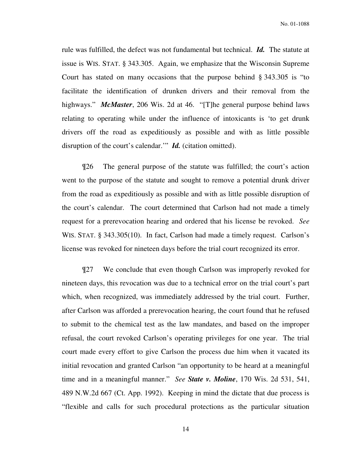rule was fulfilled, the defect was not fundamental but technical. *Id.* The statute at issue is WIS. STAT. § 343.305. Again, we emphasize that the Wisconsin Supreme Court has stated on many occasions that the purpose behind § 343.305 is "to facilitate the identification of drunken drivers and their removal from the highways." *McMaster*, 206 Wis. 2d at 46. "[T]he general purpose behind laws relating to operating while under the influence of intoxicants is 'to get drunk drivers off the road as expeditiously as possible and with as little possible disruption of the court's calendar." *Id.* (citation omitted).

¶26 The general purpose of the statute was fulfilled; the court's action went to the purpose of the statute and sought to remove a potential drunk driver from the road as expeditiously as possible and with as little possible disruption of the court's calendar. The court determined that Carlson had not made a timely request for a prerevocation hearing and ordered that his license be revoked. *See*  WIS. STAT. § 343.305(10). In fact, Carlson had made a timely request. Carlson's license was revoked for nineteen days before the trial court recognized its error.

¶27 We conclude that even though Carlson was improperly revoked for nineteen days, this revocation was due to a technical error on the trial court's part which, when recognized, was immediately addressed by the trial court. Further, after Carlson was afforded a prerevocation hearing, the court found that he refused to submit to the chemical test as the law mandates, and based on the improper refusal, the court revoked Carlson's operating privileges for one year. The trial court made every effort to give Carlson the process due him when it vacated its initial revocation and granted Carlson "an opportunity to be heard at a meaningful time and in a meaningful manner." *See State v. Moline*, 170 Wis. 2d 531, 541, 489 N.W.2d 667 (Ct. App. 1992). Keeping in mind the dictate that due process is "flexible and calls for such procedural protections as the particular situation